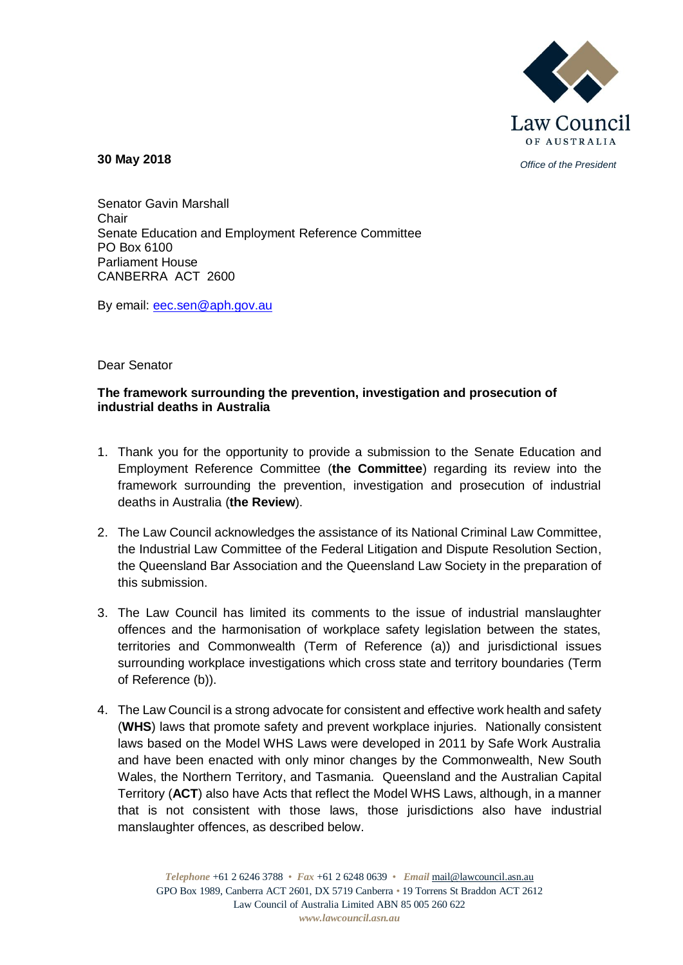

*Office of the President* **30 May 2018**

Senator Gavin Marshall Chair Senate Education and Employment Reference Committee PO Box 6100 Parliament House CANBERRA ACT 2600

By email: [eec.sen@aph.gov.au](mailto:eec.sen@aph.gov.au)

## Dear Senator

## **The framework surrounding the prevention, investigation and prosecution of industrial deaths in Australia**

- 1. Thank you for the opportunity to provide a submission to the Senate Education and Employment Reference Committee (**the Committee**) regarding its review into the framework surrounding the prevention, investigation and prosecution of industrial deaths in Australia (**the Review**).
- 2. The Law Council acknowledges the assistance of its National Criminal Law Committee, the Industrial Law Committee of the Federal Litigation and Dispute Resolution Section, the Queensland Bar Association and the Queensland Law Society in the preparation of this submission.
- 3. The Law Council has limited its comments to the issue of industrial manslaughter offences and the harmonisation of workplace safety legislation between the states, territories and Commonwealth (Term of Reference (a)) and jurisdictional issues surrounding workplace investigations which cross state and territory boundaries (Term of Reference (b)).
- 4. The Law Council is a strong advocate for consistent and effective work health and safety (**WHS**) laws that promote safety and prevent workplace injuries. Nationally consistent laws based on the Model WHS Laws were developed in 2011 by Safe Work Australia and have been enacted with only minor changes by the Commonwealth, New South Wales, the Northern Territory, and Tasmania. Queensland and the Australian Capital Territory (**ACT**) also have Acts that reflect the Model WHS Laws, although, in a manner that is not consistent with those laws, those jurisdictions also have industrial manslaughter offences, as described below.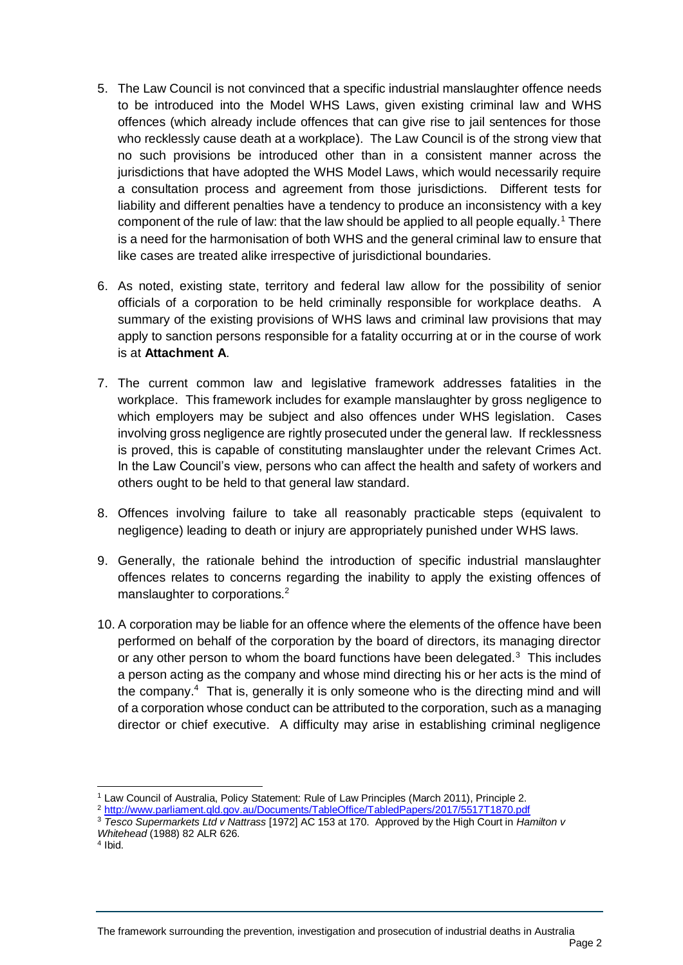- 5. The Law Council is not convinced that a specific industrial manslaughter offence needs to be introduced into the Model WHS Laws, given existing criminal law and WHS offences (which already include offences that can give rise to jail sentences for those who recklessly cause death at a workplace). The Law Council is of the strong view that no such provisions be introduced other than in a consistent manner across the jurisdictions that have adopted the WHS Model Laws, which would necessarily require a consultation process and agreement from those jurisdictions. Different tests for liability and different penalties have a tendency to produce an inconsistency with a key component of the rule of law: that the law should be applied to all people equally.<sup>1</sup> There is a need for the harmonisation of both WHS and the general criminal law to ensure that like cases are treated alike irrespective of jurisdictional boundaries.
- 6. As noted, existing state, territory and federal law allow for the possibility of senior officials of a corporation to be held criminally responsible for workplace deaths. A summary of the existing provisions of WHS laws and criminal law provisions that may apply to sanction persons responsible for a fatality occurring at or in the course of work is at **Attachment A**.
- 7. The current common law and legislative framework addresses fatalities in the workplace. This framework includes for example manslaughter by gross negligence to which employers may be subject and also offences under WHS legislation. Cases involving gross negligence are rightly prosecuted under the general law. If recklessness is proved, this is capable of constituting manslaughter under the relevant Crimes Act. In the Law Council's view, persons who can affect the health and safety of workers and others ought to be held to that general law standard.
- 8. Offences involving failure to take all reasonably practicable steps (equivalent to negligence) leading to death or injury are appropriately punished under WHS laws.
- 9. Generally, the rationale behind the introduction of specific industrial manslaughter offences relates to concerns regarding the inability to apply the existing offences of manslaughter to corporations.<sup>2</sup>
- 10. A corporation may be liable for an offence where the elements of the offence have been performed on behalf of the corporation by the board of directors, its managing director or any other person to whom the board functions have been delegated. $3$  This includes a person acting as the company and whose mind directing his or her acts is the mind of the company.<sup>4</sup> That is, generally it is only someone who is the directing mind and will of a corporation whose conduct can be attributed to the corporation, such as a managing director or chief executive. A difficulty may arise in establishing criminal negligence

 $\overline{a}$ 

The framework surrounding the prevention, investigation and prosecution of industrial deaths in Australia

<sup>1</sup> Law Council of Australia, Policy Statement: Rule of Law Principles (March 2011), Principle 2.

<sup>2</sup> <http://www.parliament.qld.gov.au/Documents/TableOffice/TabledPapers/2017/5517T1870.pdf>

<sup>3</sup> *Tesco Supermarkets Ltd v Nattrass* [1972] AC 153 at 170. Approved by the High Court in *Hamilton v Whitehead* (1988) 82 ALR 626.

<sup>4</sup> Ibid.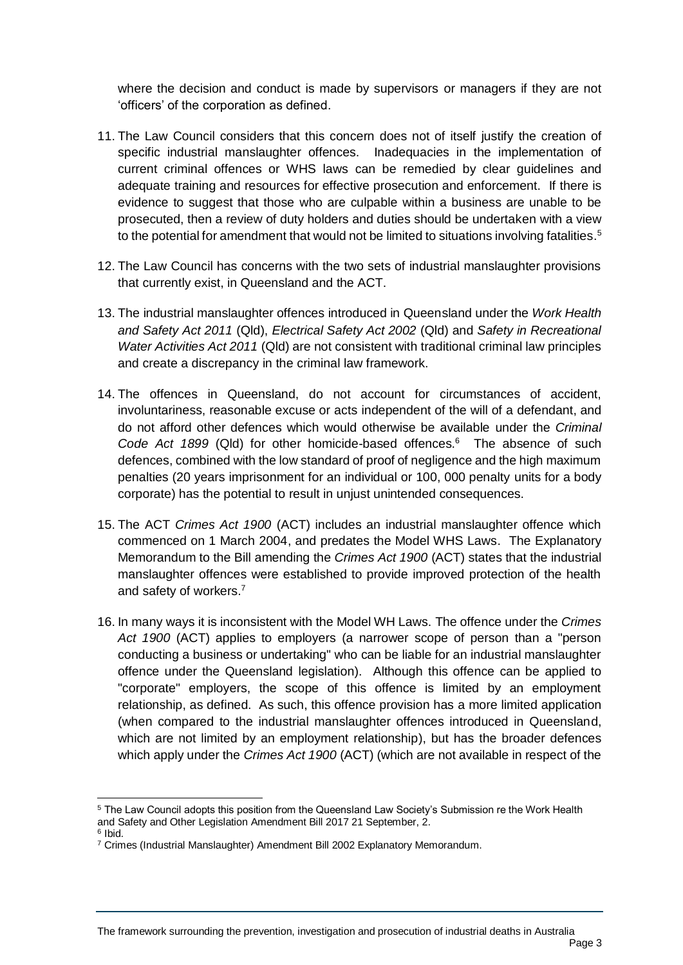where the decision and conduct is made by supervisors or managers if they are not 'officers' of the corporation as defined.

- 11. The Law Council considers that this concern does not of itself justify the creation of specific industrial manslaughter offences. Inadequacies in the implementation of current criminal offences or WHS laws can be remedied by clear guidelines and adequate training and resources for effective prosecution and enforcement. If there is evidence to suggest that those who are culpable within a business are unable to be prosecuted, then a review of duty holders and duties should be undertaken with a view to the potential for amendment that would not be limited to situations involving fatalities.<sup>5</sup>
- 12. The Law Council has concerns with the two sets of industrial manslaughter provisions that currently exist, in Queensland and the ACT.
- 13. The industrial manslaughter offences introduced in Queensland under the *Work Health and Safety Act 2011* (Qld), *Electrical Safety Act 2002* (Qld) and *Safety in Recreational Water Activities Act 2011* (Qld) are not consistent with traditional criminal law principles and create a discrepancy in the criminal law framework.
- 14. The offences in Queensland, do not account for circumstances of accident, involuntariness, reasonable excuse or acts independent of the will of a defendant, and do not afford other defences which would otherwise be available under the *Criminal*  Code Act 1899 (Qld) for other homicide-based offences.<sup>6</sup> The absence of such defences, combined with the low standard of proof of negligence and the high maximum penalties (20 years imprisonment for an individual or 100, 000 penalty units for a body corporate) has the potential to result in unjust unintended consequences.
- 15. The ACT *Crimes Act 1900* (ACT) includes an industrial manslaughter offence which commenced on 1 March 2004, and predates the Model WHS Laws. The Explanatory Memorandum to the Bill amending the *Crimes Act 1900* (ACT) states that the industrial manslaughter offences were established to provide improved protection of the health and safety of workers.<sup>7</sup>
- 16. In many ways it is inconsistent with the Model WH Laws. The offence under the *Crimes Act 1900* (ACT) applies to employers (a narrower scope of person than a "person conducting a business or undertaking" who can be liable for an industrial manslaughter offence under the Queensland legislation). Although this offence can be applied to "corporate" employers, the scope of this offence is limited by an employment relationship, as defined. As such, this offence provision has a more limited application (when compared to the industrial manslaughter offences introduced in Queensland, which are not limited by an employment relationship), but has the broader defences which apply under the *Crimes Act 1900* (ACT) (which are not available in respect of the

<sup>5</sup> The Law Council adopts this position from the Queensland Law Society's Submission re the Work Health and Safety and Other Legislation Amendment Bill 2017 21 September, 2.

<sup>&</sup>lt;sup>6</sup> Ibid.

<sup>7</sup> Crimes (Industrial Manslaughter) Amendment Bill 2002 Explanatory Memorandum.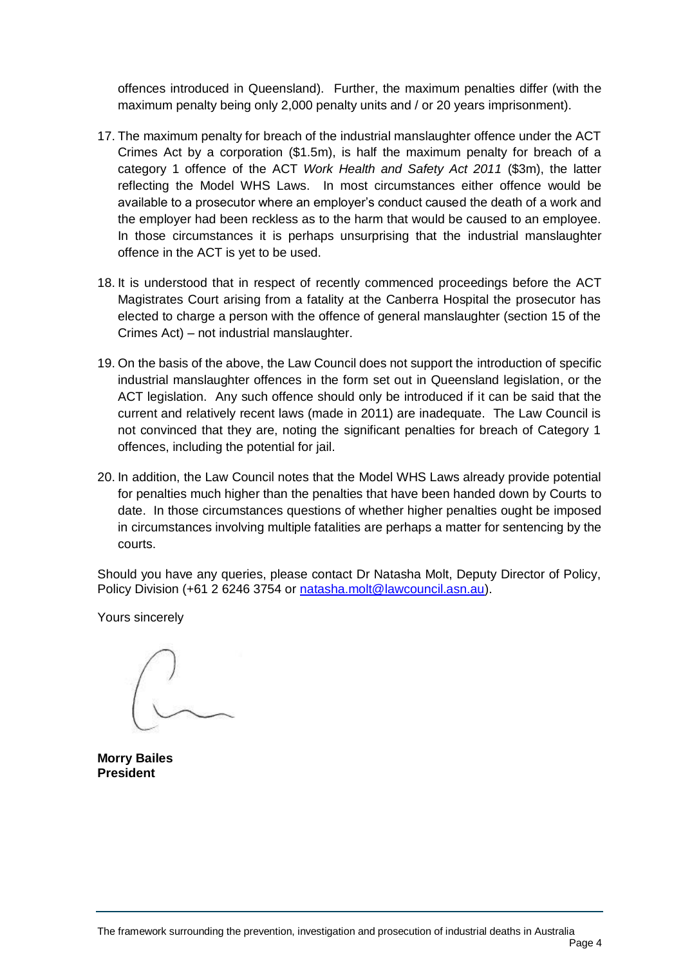offences introduced in Queensland). Further, the maximum penalties differ (with the maximum penalty being only 2,000 penalty units and / or 20 years imprisonment).

- 17. The maximum penalty for breach of the industrial manslaughter offence under the ACT Crimes Act by a corporation (\$1.5m), is half the maximum penalty for breach of a category 1 offence of the ACT *Work Health and Safety Act 2011* (\$3m), the latter reflecting the Model WHS Laws. In most circumstances either offence would be available to a prosecutor where an employer's conduct caused the death of a work and the employer had been reckless as to the harm that would be caused to an employee. In those circumstances it is perhaps unsurprising that the industrial manslaughter offence in the ACT is yet to be used.
- 18. It is understood that in respect of recently commenced proceedings before the ACT Magistrates Court arising from a fatality at the Canberra Hospital the prosecutor has elected to charge a person with the offence of general manslaughter (section 15 of the Crimes Act) – not industrial manslaughter.
- 19. On the basis of the above, the Law Council does not support the introduction of specific industrial manslaughter offences in the form set out in Queensland legislation, or the ACT legislation. Any such offence should only be introduced if it can be said that the current and relatively recent laws (made in 2011) are inadequate. The Law Council is not convinced that they are, noting the significant penalties for breach of Category 1 offences, including the potential for jail.
- 20. In addition, the Law Council notes that the Model WHS Laws already provide potential for penalties much higher than the penalties that have been handed down by Courts to date. In those circumstances questions of whether higher penalties ought be imposed in circumstances involving multiple fatalities are perhaps a matter for sentencing by the courts.

Should you have any queries, please contact Dr Natasha Molt, Deputy Director of Policy, Policy Division (+61 2 6246 3754 or [natasha.molt@lawcouncil.asn.au\)](mailto:natasha.molt@lawcouncil.asn.au).

Yours sincerely

**Morry Bailes President**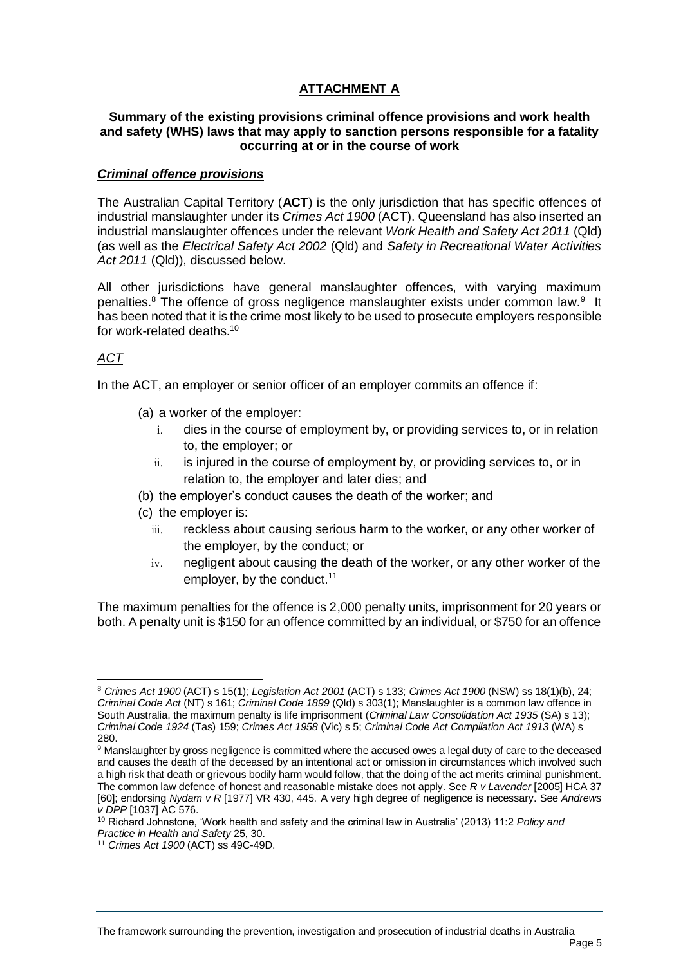# **ATTACHMENT A**

### **Summary of the existing provisions criminal offence provisions and work health and safety (WHS) laws that may apply to sanction persons responsible for a fatality occurring at or in the course of work**

### *Criminal offence provisions*

The Australian Capital Territory (**ACT**) is the only jurisdiction that has specific offences of industrial manslaughter under its *Crimes Act 1900* (ACT). Queensland has also inserted an industrial manslaughter offences under the relevant *Work Health and Safety Act 2011* (Qld) (as well as the *Electrical Safety Act 2002* (Qld) and *Safety in Recreational Water Activities Act 2011* (Qld)), discussed below.

All other jurisdictions have general manslaughter offences, with varying maximum penalties.<sup>8</sup> The offence of gross negligence manslaughter exists under common law.<sup>9</sup> It has been noted that it is the crime most likely to be used to prosecute employers responsible for work-related deaths.<sup>10</sup>

# *ACT*

In the ACT, an employer or senior officer of an employer commits an offence if:

- (a) a worker of the employer:
	- i. dies in the course of employment by, or providing services to, or in relation to, the employer; or
	- ii. is injured in the course of employment by, or providing services to, or in relation to, the employer and later dies; and
- (b) the employer's conduct causes the death of the worker; and
- (c) the employer is:
	- iii. reckless about causing serious harm to the worker, or any other worker of the employer, by the conduct; or
	- iv. negligent about causing the death of the worker, or any other worker of the employer, by the conduct. $11$

The maximum penalties for the offence is 2,000 penalty units, imprisonment for 20 years or both. A penalty unit is \$150 for an offence committed by an individual, or \$750 for an offence

<sup>8</sup> *Crimes Act 1900* (ACT) s 15(1); *Legislation Act 2001* (ACT) s 133; *Crimes Act 1900* (NSW) ss 18(1)(b), 24; *Criminal Code Act* (NT) s 161; *Criminal Code 1899* (Qld) s 303(1); Manslaughter is a common law offence in South Australia, the maximum penalty is life imprisonment (*Criminal Law Consolidation Act 1935* (SA) s 13); *Criminal Code 1924* (Tas) 159; *Crimes Act 1958* (Vic) s 5; *Criminal Code Act Compilation Act 1913* (WA) s 280.

<sup>&</sup>lt;sup>9</sup> Manslaughter by gross negligence is committed where the accused owes a legal duty of care to the deceased and causes the death of the deceased by an intentional act or omission in circumstances which involved such a high risk that death or grievous bodily harm would follow, that the doing of the act merits criminal punishment. The common law defence of honest and reasonable mistake does not apply. See *R v Lavender* [2005] HCA 37 [60]; endorsing *Nydam v R* [1977] VR 430, 445. A very high degree of negligence is necessary. See *Andrews v DPP* [1037] AC 576.

<sup>10</sup> Richard Johnstone, 'Work health and safety and the criminal law in Australia' (2013) 11:2 *Policy and Practice in Health and Safety* 25, 30.

<sup>11</sup> *Crimes Act 1900* (ACT) ss 49C-49D.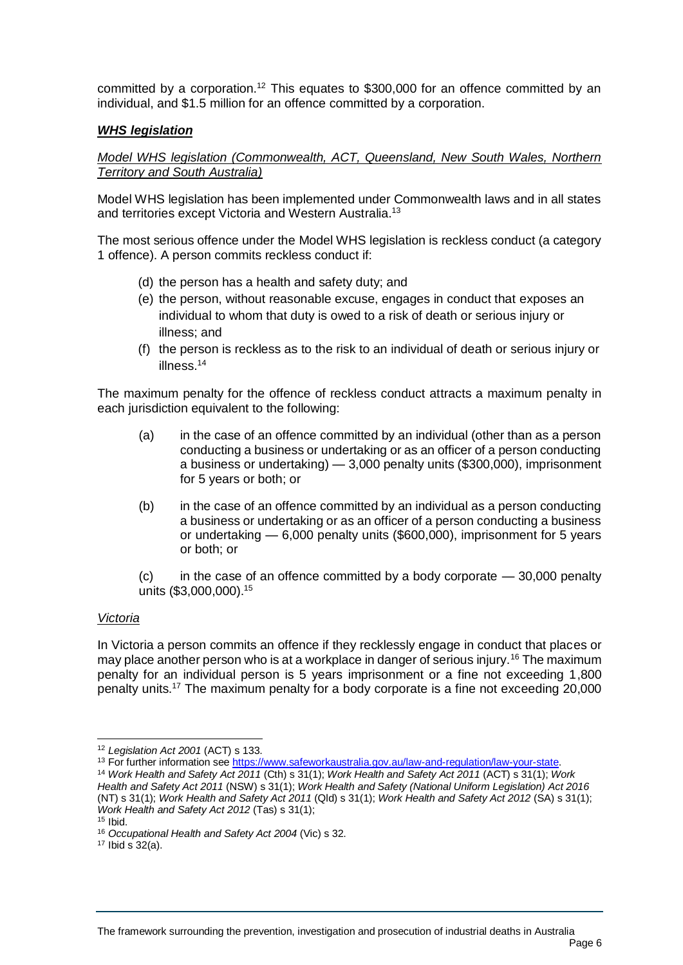committed by a corporation.<sup>12</sup> This equates to \$300,000 for an offence committed by an individual, and \$1.5 million for an offence committed by a corporation.

# *WHS legislation*

*Model WHS legislation (Commonwealth, ACT, Queensland, New South Wales, Northern Territory and South Australia)*

Model WHS legislation has been implemented under Commonwealth laws and in all states and territories except Victoria and Western Australia.<sup>13</sup>

The most serious offence under the Model WHS legislation is reckless conduct (a category 1 offence). A person commits reckless conduct if:

- (d) the person has a health and safety duty; and
- (e) the person, without reasonable excuse, engages in conduct that exposes an individual to whom that duty is owed to a risk of death or serious injury or illness; and
- (f) the person is reckless as to the risk to an individual of death or serious injury or illness.<sup>14</sup>

The maximum penalty for the offence of reckless conduct attracts a maximum penalty in each jurisdiction equivalent to the following:

- (a) in the case of an offence committed by an individual (other than as a person conducting a business or undertaking or as an officer of a person conducting a business or undertaking) — 3,000 penalty units (\$300,000), imprisonment for 5 years or both; or
- (b) in the case of an offence committed by an individual as a person conducting a business or undertaking or as an officer of a person conducting a business or undertaking — 6,000 penalty units (\$600,000), imprisonment for 5 years or both; or

 $(c)$  in the case of an offence committed by a body corporate  $-30,000$  penalty units (\$3,000,000). 15

## *Victoria*

In Victoria a person commits an offence if they recklessly engage in conduct that places or may place another person who is at a workplace in danger of serious injury.<sup>16</sup> The maximum penalty for an individual person is 5 years imprisonment or a fine not exceeding 1,800 penalty units.<sup>17</sup> The maximum penalty for a body corporate is a fine not exceeding 20,000

 $\overline{a}$ 

<sup>12</sup> *Legislation Act 2001* (ACT) s 133.

<sup>13</sup> For further information see [https://www.safeworkaustralia.gov.au/law-and-regulation/law-your-state.](https://www.safeworkaustralia.gov.au/law-and-regulation/law-your-state)

<sup>14</sup> *Work Health and Safety Act 2011* (Cth) s 31(1); *Work Health and Safety Act 2011* (ACT) s 31(1); *Work Health and Safety Act 2011* (NSW) s 31(1); *Work Health and Safety (National Uniform Legislation) Act 2016*  (NT) s 31(1); *Work Health and Safety Act 2011* (Qld) s 31(1); *Work Health and Safety Act 2012* (SA) s 31(1); *Work Health and Safety Act 2012* (Tas) s 31(1);

 $15$  Ibid.

<sup>16</sup> *Occupational Health and Safety Act 2004* (Vic) s 32.

 $17$  Ibid s  $32(a)$ .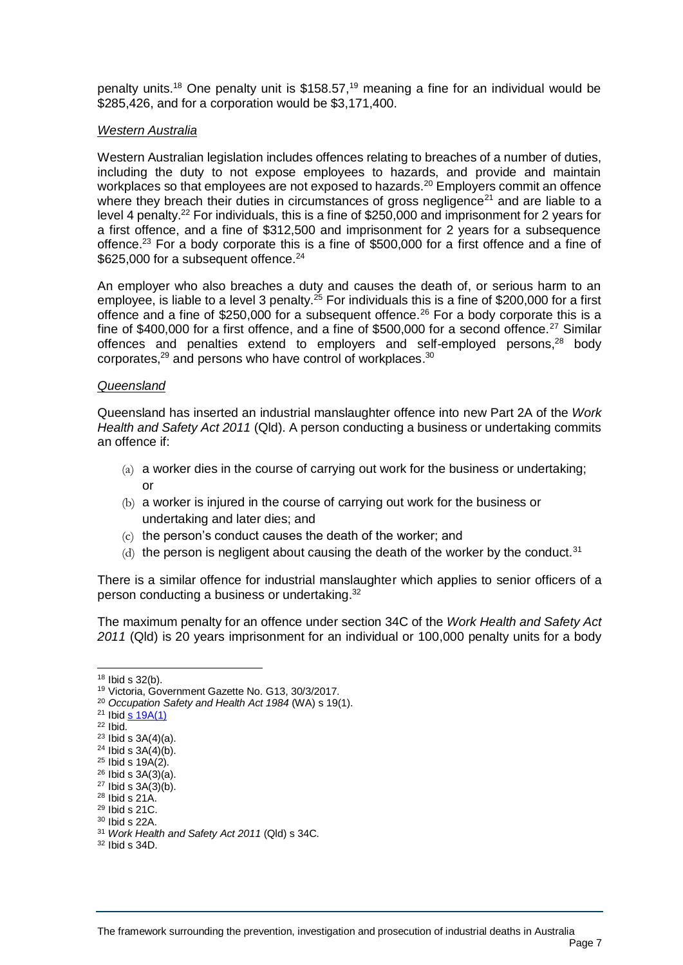penalty units.<sup>18</sup> One penalty unit is \$158.57,<sup>19</sup> meaning a fine for an individual would be \$285,426, and for a corporation would be \$3,171,400.

### *Western Australia*

Western Australian legislation includes offences relating to breaches of a number of duties, including the duty to not expose employees to hazards, and provide and maintain workplaces so that employees are not exposed to hazards.<sup>20</sup> Employers commit an offence where they breach their duties in circumstances of gross negligence<sup>21</sup> and are liable to a level 4 penalty.<sup>22</sup> For individuals, this is a fine of \$250,000 and imprisonment for 2 years for a first offence, and a fine of \$312,500 and imprisonment for 2 years for a subsequence offence.<sup>23</sup> For a body corporate this is a fine of \$500,000 for a first offence and a fine of \$625,000 for a subsequent offence.<sup>24</sup>

An employer who also breaches a duty and causes the death of, or serious harm to an employee, is liable to a level 3 penalty.<sup>25</sup> For individuals this is a fine of \$200,000 for a first offence and a fine of \$250,000 for a subsequent offence.<sup>26</sup> For a body corporate this is a fine of \$400,000 for a first offence, and a fine of \$500,000 for a second offence.<sup>27</sup> Similar offences and penalties extend to employers and self-employed persons,<sup>28</sup> body corporates, $29$  and persons who have control of workplaces.  $30$ 

### *Queensland*

Queensland has inserted an industrial manslaughter offence into new Part 2A of the *Work Health and Safety Act 2011* (Qld). A person conducting a business or undertaking commits an offence if:

- (a) a worker dies in the course of carrying out work for the business or undertaking; or
- (b) a worker is injured in the course of carrying out work for the business or undertaking and later dies; and
- (c) the person's conduct causes the death of the worker; and
- (d) the person is negligent about causing the death of the worker by the conduct.<sup>31</sup>

There is a similar offence for industrial manslaughter which applies to senior officers of a person conducting a business or undertaking.<sup>32</sup>

The maximum penalty for an offence under section 34C of the *Work Health and Safety Act 2011* (Qld) is 20 years imprisonment for an individual or 100,000 penalty units for a body

<sup>18</sup> Ibid s 32(b).

<sup>19</sup> Victoria, Government Gazette No. G13, 30/3/2017.

<sup>20</sup> *Occupation Safety and Health Act 1984* (WA) s 19(1).

 $21$  Ibid s  $19A(1)$ 

<sup>22</sup> Ibid.

 $23$  Ibid s  $3A(4)(a)$ .

 $24$  Ibid s  $3A(4)(b)$ . <sup>25</sup> Ibid s 19A(2).

<sup>26</sup> Ibid s 3A(3)(a).  $27$  Ibid s  $3A(3)(b)$ .

 $28$  Ibid s  $21A$ .

 $29$  Ibid s 21C.

<sup>30</sup> Ibid s 22A.

<sup>31</sup> *Work Health and Safety Act 2011* (Qld) s 34C.

<sup>32</sup> Ibid s 34D.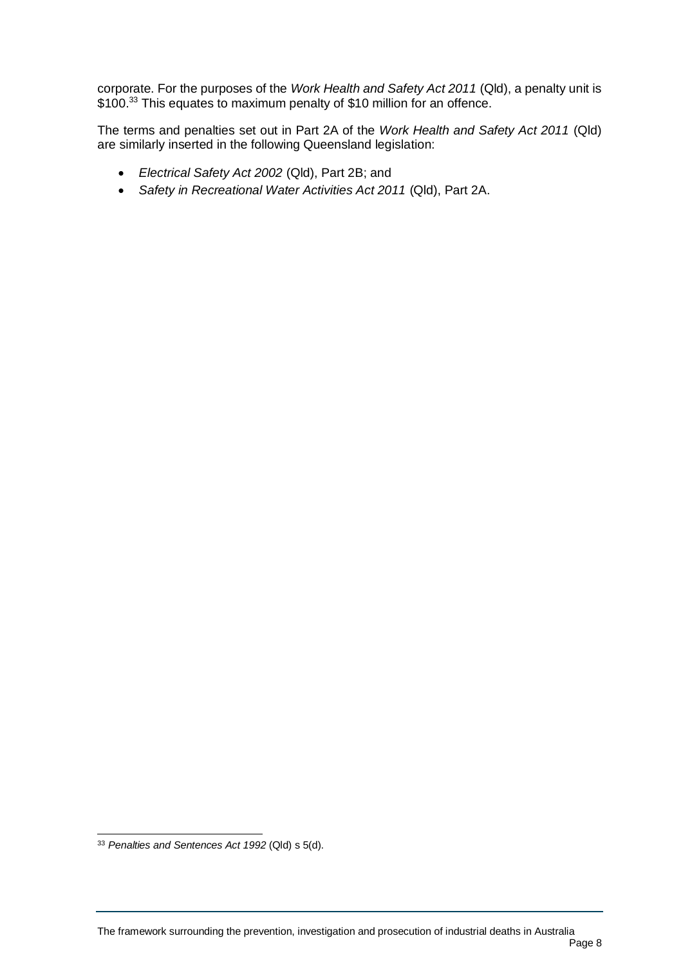corporate. For the purposes of the *Work Health and Safety Act 2011* (Qld), a penalty unit is \$100.<sup>33</sup> This equates to maximum penalty of \$10 million for an offence.

The terms and penalties set out in Part 2A of the *Work Health and Safety Act 2011* (Qld) are similarly inserted in the following Queensland legislation:

- *Electrical Safety Act 2002* (Qld), Part 2B; and
- *Safety in Recreational Water Activities Act 2011* (Qld), Part 2A.

 $\overline{a}$ 

<sup>33</sup> *Penalties and Sentences Act 1992* (Qld) s 5(d).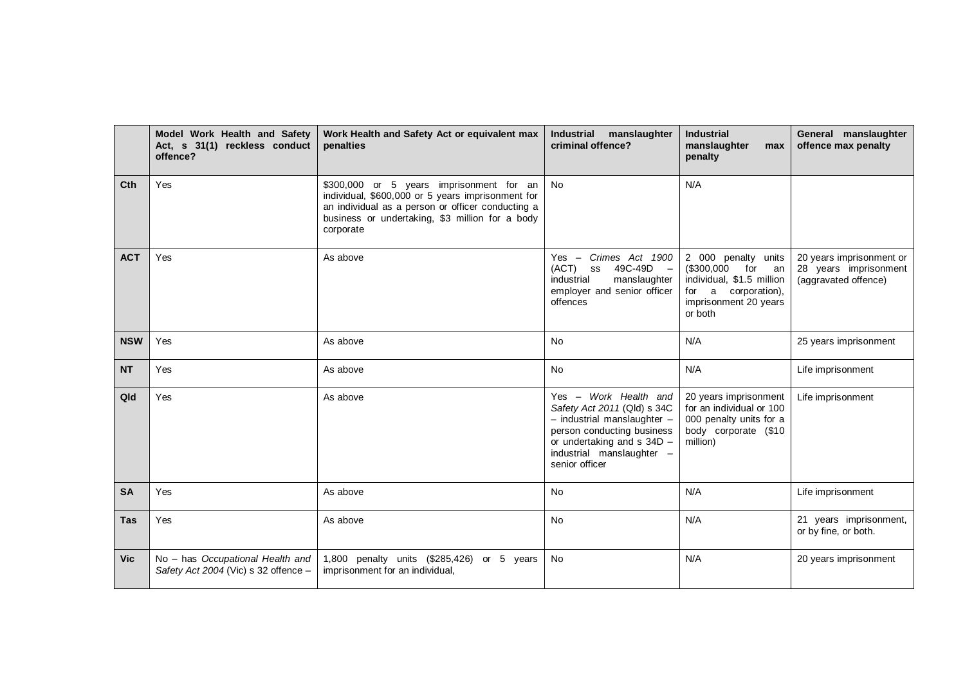|            | Model Work Health and Safety<br>Act, s 31(1) reckless conduct<br>offence? | Work Health and Safety Act or equivalent max<br>penalties                                                                                                                                                          | <b>Industrial</b><br>manslaughter<br>criminal offence?                                                                                                                                                 | <b>Industrial</b><br>manslaughter<br>max<br>penalty                                                                                    | General manslaughter<br>offence max penalty                               |
|------------|---------------------------------------------------------------------------|--------------------------------------------------------------------------------------------------------------------------------------------------------------------------------------------------------------------|--------------------------------------------------------------------------------------------------------------------------------------------------------------------------------------------------------|----------------------------------------------------------------------------------------------------------------------------------------|---------------------------------------------------------------------------|
| <b>Cth</b> | Yes                                                                       | \$300,000 or 5 years imprisonment for an<br>individual, \$600,000 or 5 years imprisonment for<br>an individual as a person or officer conducting a<br>business or undertaking, \$3 million for a body<br>corporate | <b>No</b>                                                                                                                                                                                              | N/A                                                                                                                                    |                                                                           |
| <b>ACT</b> | Yes                                                                       | As above                                                                                                                                                                                                           | Crimes Act 1900<br>$Yes -$<br>(ACT)<br>49C-49D<br>SS<br>$\sim$<br>industrial<br>manslaughter<br>employer and senior officer<br>offences                                                                | 2 000 penalty units<br>(\$300,000<br>for<br>an<br>individual, \$1.5 million<br>for a corporation),<br>imprisonment 20 years<br>or both | 20 years imprisonment or<br>28 years imprisonment<br>(aggravated offence) |
| <b>NSW</b> | Yes                                                                       | As above                                                                                                                                                                                                           | <b>No</b>                                                                                                                                                                                              | N/A                                                                                                                                    | 25 years imprisonment                                                     |
| <b>NT</b>  | Yes                                                                       | As above                                                                                                                                                                                                           | <b>No</b>                                                                                                                                                                                              | N/A                                                                                                                                    | Life imprisonment                                                         |
| Qld        | Yes                                                                       | As above                                                                                                                                                                                                           | Yes - Work Health and<br>Safety Act 2011 (Qld) s 34C<br>$-$ industrial manslaughter $-$<br>person conducting business<br>or undertaking and $s$ 34D $-$<br>industrial manslaughter -<br>senior officer | 20 years imprisonment<br>for an individual or 100<br>000 penalty units for a<br>body corporate (\$10<br>million)                       | Life imprisonment                                                         |
| <b>SA</b>  | Yes                                                                       | As above                                                                                                                                                                                                           | <b>No</b>                                                                                                                                                                                              | N/A                                                                                                                                    | Life imprisonment                                                         |
| <b>Tas</b> | Yes                                                                       | As above                                                                                                                                                                                                           | <b>No</b>                                                                                                                                                                                              | N/A                                                                                                                                    | 21 years imprisonment,<br>or by fine, or both.                            |
| <b>Vic</b> | No - has Occupational Health and<br>Safety Act 2004 (Vic) s 32 offence -  | 1,800 penalty units (\$285,426)<br>or 5 years<br>imprisonment for an individual,                                                                                                                                   | <b>No</b>                                                                                                                                                                                              | N/A                                                                                                                                    | 20 years imprisonment                                                     |